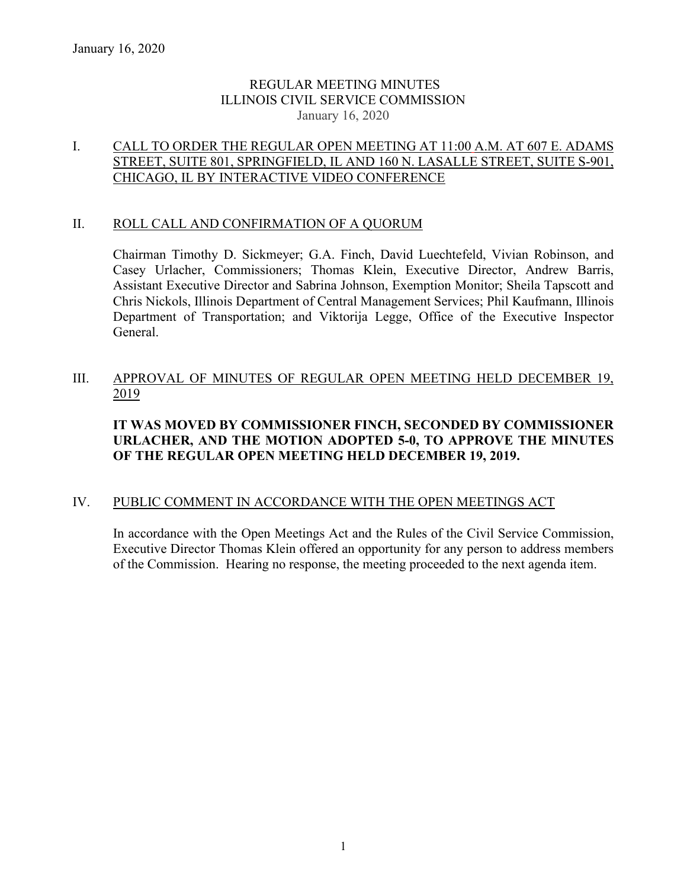## REGULAR MEETING MINUTES ILLINOIS CIVIL SERVICE COMMISSION January 16, 2020

# I. CALL TO ORDER THE REGULAR OPEN MEETING AT 11:00 A.M. AT 607 E. ADAMS STREET, SUITE 801, SPRINGFIELD, IL AND 160 N. LASALLE STREET, SUITE S-901, CHICAGO, IL BY INTERACTIVE VIDEO CONFERENCE

### II. ROLL CALL AND CONFIRMATION OF A QUORUM

Chairman Timothy D. Sickmeyer; G.A. Finch, David Luechtefeld, Vivian Robinson, and Casey Urlacher, Commissioners; Thomas Klein, Executive Director, Andrew Barris, Assistant Executive Director and Sabrina Johnson, Exemption Monitor; Sheila Tapscott and Chris Nickols, Illinois Department of Central Management Services; Phil Kaufmann, Illinois Department of Transportation; and Viktorija Legge, Office of the Executive Inspector General.

# III. APPROVAL OF MINUTES OF REGULAR OPEN MEETING HELD DECEMBER 19, 2019

# **IT WAS MOVED BY COMMISSIONER FINCH, SECONDED BY COMMISSIONER URLACHER, AND THE MOTION ADOPTED 5-0, TO APPROVE THE MINUTES OF THE REGULAR OPEN MEETING HELD DECEMBER 19, 2019.**

# IV. PUBLIC COMMENT IN ACCORDANCE WITH THE OPEN MEETINGS ACT

In accordance with the Open Meetings Act and the Rules of the Civil Service Commission, Executive Director Thomas Klein offered an opportunity for any person to address members of the Commission. Hearing no response, the meeting proceeded to the next agenda item.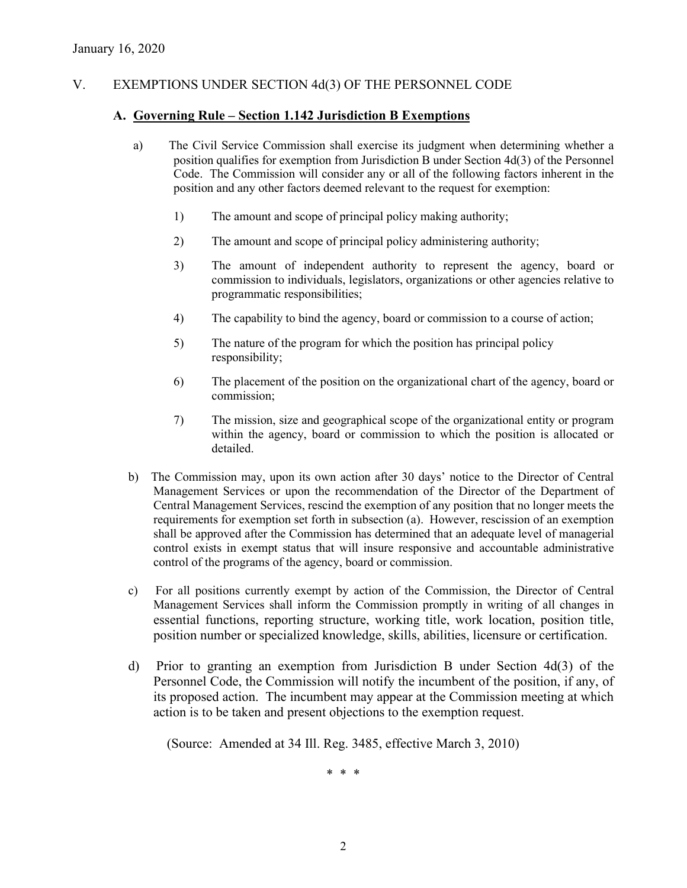# V. EXEMPTIONS UNDER SECTION 4d(3) OF THE PERSONNEL CODE

### **A. Governing Rule – Section 1.142 Jurisdiction B Exemptions**

- a) The Civil Service Commission shall exercise its judgment when determining whether a position qualifies for exemption from Jurisdiction B under Section 4d(3) of the Personnel Code. The Commission will consider any or all of the following factors inherent in the position and any other factors deemed relevant to the request for exemption:
	- 1) The amount and scope of principal policy making authority;
	- 2) The amount and scope of principal policy administering authority;
	- 3) The amount of independent authority to represent the agency, board or commission to individuals, legislators, organizations or other agencies relative to programmatic responsibilities;
	- 4) The capability to bind the agency, board or commission to a course of action;
	- 5) The nature of the program for which the position has principal policy responsibility;
	- 6) The placement of the position on the organizational chart of the agency, board or commission;
	- 7) The mission, size and geographical scope of the organizational entity or program within the agency, board or commission to which the position is allocated or detailed.
- b) The Commission may, upon its own action after 30 days' notice to the Director of Central Management Services or upon the recommendation of the Director of the Department of Central Management Services, rescind the exemption of any position that no longer meets the requirements for exemption set forth in subsection (a). However, rescission of an exemption shall be approved after the Commission has determined that an adequate level of managerial control exists in exempt status that will insure responsive and accountable administrative control of the programs of the agency, board or commission.
- c) For all positions currently exempt by action of the Commission, the Director of Central Management Services shall inform the Commission promptly in writing of all changes in essential functions, reporting structure, working title, work location, position title, position number or specialized knowledge, skills, abilities, licensure or certification.
- d) Prior to granting an exemption from Jurisdiction B under Section 4d(3) of the Personnel Code, the Commission will notify the incumbent of the position, if any, of its proposed action. The incumbent may appear at the Commission meeting at which action is to be taken and present objections to the exemption request.

(Source: Amended at 34 Ill. Reg. 3485, effective March 3, 2010)

\* \* \*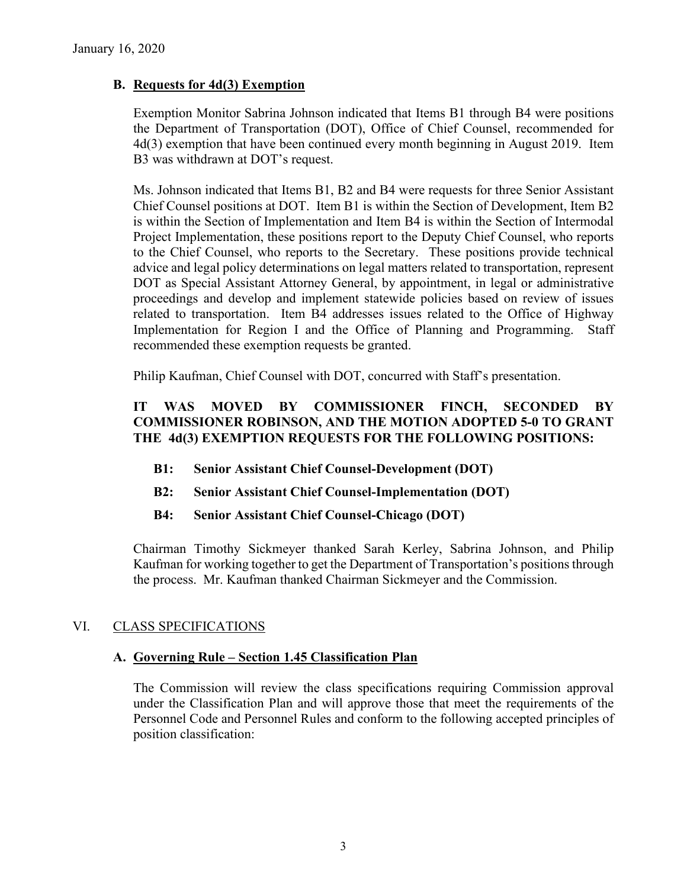## **B. Requests for 4d(3) Exemption**

Exemption Monitor Sabrina Johnson indicated that Items B1 through B4 were positions the Department of Transportation (DOT), Office of Chief Counsel, recommended for 4d(3) exemption that have been continued every month beginning in August 2019. Item B3 was withdrawn at DOT's request.

Ms. Johnson indicated that Items B1, B2 and B4 were requests for three Senior Assistant Chief Counsel positions at DOT. Item B1 is within the Section of Development, Item B2 is within the Section of Implementation and Item B4 is within the Section of Intermodal Project Implementation, these positions report to the Deputy Chief Counsel, who reports to the Chief Counsel, who reports to the Secretary. These positions provide technical advice and legal policy determinations on legal matters related to transportation, represent DOT as Special Assistant Attorney General, by appointment, in legal or administrative proceedings and develop and implement statewide policies based on review of issues related to transportation. Item B4 addresses issues related to the Office of Highway Implementation for Region I and the Office of Planning and Programming. Staff recommended these exemption requests be granted.

Philip Kaufman, Chief Counsel with DOT, concurred with Staff's presentation.

# **IT WAS MOVED BY COMMISSIONER FINCH, SECONDED BY COMMISSIONER ROBINSON, AND THE MOTION ADOPTED 5-0 TO GRANT THE 4d(3) EXEMPTION REQUESTS FOR THE FOLLOWING POSITIONS:**

- **B1: Senior Assistant Chief Counsel-Development (DOT)**
- **B2: Senior Assistant Chief Counsel-Implementation (DOT)**
- **B4: Senior Assistant Chief Counsel-Chicago (DOT)**

Chairman Timothy Sickmeyer thanked Sarah Kerley, Sabrina Johnson, and Philip Kaufman for working together to get the Department of Transportation's positions through the process. Mr. Kaufman thanked Chairman Sickmeyer and the Commission.

# VI. CLASS SPECIFICATIONS

### **A. Governing Rule – Section 1.45 Classification Plan**

The Commission will review the class specifications requiring Commission approval under the Classification Plan and will approve those that meet the requirements of the Personnel Code and Personnel Rules and conform to the following accepted principles of position classification: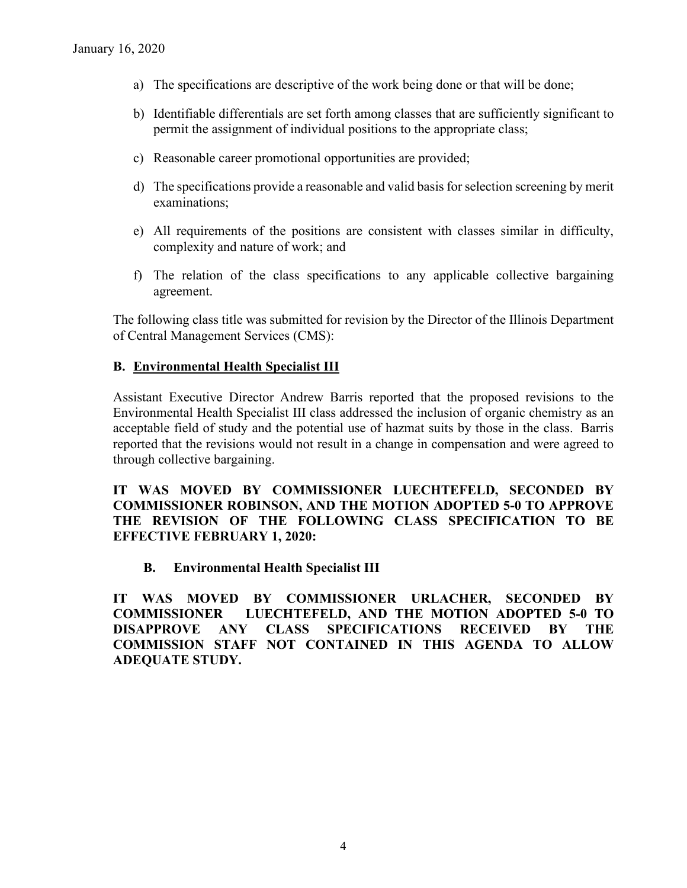- a) The specifications are descriptive of the work being done or that will be done;
- b) Identifiable differentials are set forth among classes that are sufficiently significant to permit the assignment of individual positions to the appropriate class;
- c) Reasonable career promotional opportunities are provided;
- d) The specifications provide a reasonable and valid basis for selection screening by merit examinations;
- e) All requirements of the positions are consistent with classes similar in difficulty, complexity and nature of work; and
- f) The relation of the class specifications to any applicable collective bargaining agreement.

The following class title was submitted for revision by the Director of the Illinois Department of Central Management Services (CMS):

## **B. Environmental Health Specialist III**

Assistant Executive Director Andrew Barris reported that the proposed revisions to the Environmental Health Specialist III class addressed the inclusion of organic chemistry as an acceptable field of study and the potential use of hazmat suits by those in the class. Barris reported that the revisions would not result in a change in compensation and were agreed to through collective bargaining.

### **IT WAS MOVED BY COMMISSIONER LUECHTEFELD, SECONDED BY COMMISSIONER ROBINSON, AND THE MOTION ADOPTED 5-0 TO APPROVE THE REVISION OF THE FOLLOWING CLASS SPECIFICATION TO BE EFFECTIVE FEBRUARY 1, 2020:**

### **B. Environmental Health Specialist III**

**IT WAS MOVED BY COMMISSIONER URLACHER, SECONDED BY COMMISSIONER LUECHTEFELD, AND THE MOTION ADOPTED 5-0 TO DISAPPROVE ANY CLASS SPECIFICATIONS RECEIVED BY THE COMMISSION STAFF NOT CONTAINED IN THIS AGENDA TO ALLOW ADEQUATE STUDY.**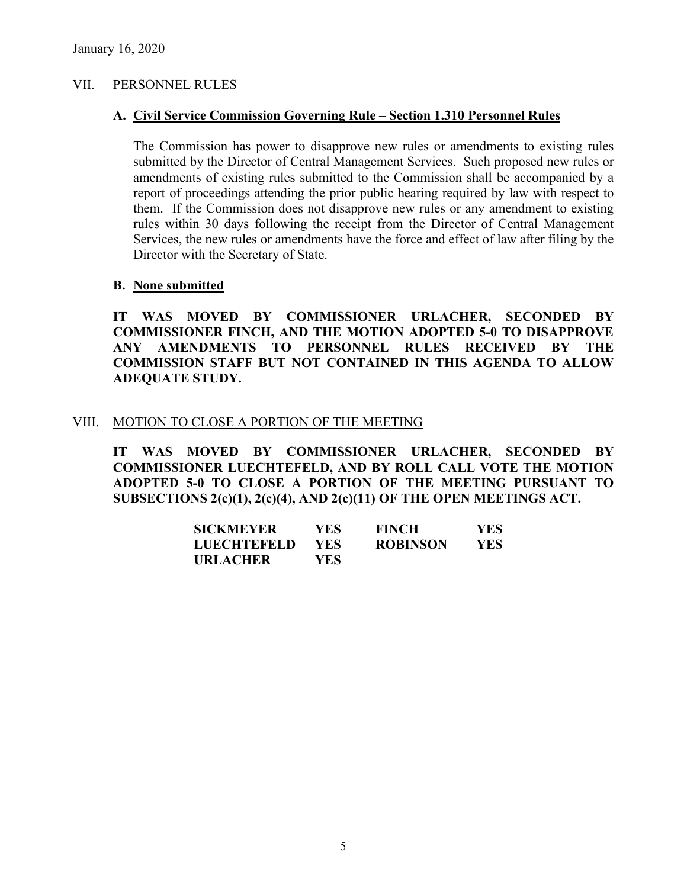### VII. PERSONNEL RULES

#### **A. Civil Service Commission Governing Rule – Section 1.310 Personnel Rules**

The Commission has power to disapprove new rules or amendments to existing rules submitted by the Director of Central Management Services. Such proposed new rules or amendments of existing rules submitted to the Commission shall be accompanied by a report of proceedings attending the prior public hearing required by law with respect to them. If the Commission does not disapprove new rules or any amendment to existing rules within 30 days following the receipt from the Director of Central Management Services, the new rules or amendments have the force and effect of law after filing by the Director with the Secretary of State.

#### **B. None submitted**

**IT WAS MOVED BY COMMISSIONER URLACHER, SECONDED BY COMMISSIONER FINCH, AND THE MOTION ADOPTED 5-0 TO DISAPPROVE ANY AMENDMENTS TO PERSONNEL RULES RECEIVED BY THE COMMISSION STAFF BUT NOT CONTAINED IN THIS AGENDA TO ALLOW ADEQUATE STUDY.** 

#### VIII. MOTION TO CLOSE A PORTION OF THE MEETING

**IT WAS MOVED BY COMMISSIONER URLACHER, SECONDED BY COMMISSIONER LUECHTEFELD, AND BY ROLL CALL VOTE THE MOTION ADOPTED 5-0 TO CLOSE A PORTION OF THE MEETING PURSUANT TO SUBSECTIONS 2(c)(1), 2(c)(4), AND 2(c)(11) OF THE OPEN MEETINGS ACT.**

| <b>SICKMEYER</b>   | YES.       | <b>FINCH</b>    | YES |
|--------------------|------------|-----------------|-----|
| <b>LUECHTEFELD</b> | <b>YES</b> | <b>ROBINSON</b> | YES |
| <b>URLACHER</b>    | YES-       |                 |     |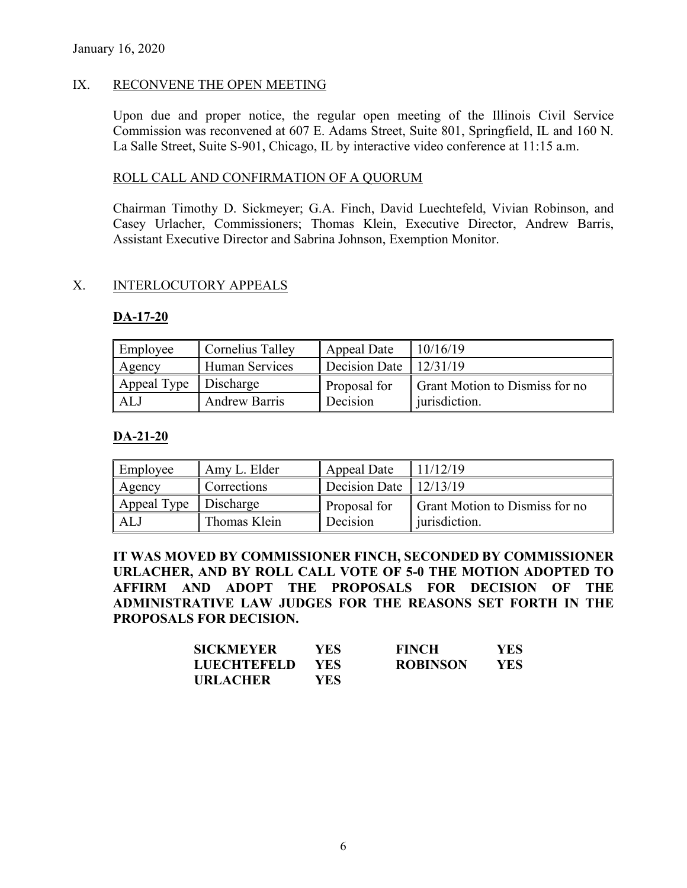### IX. RECONVENE THE OPEN MEETING

Upon due and proper notice, the regular open meeting of the Illinois Civil Service Commission was reconvened at 607 E. Adams Street, Suite 801, Springfield, IL and 160 N. La Salle Street, Suite S-901, Chicago, IL by interactive video conference at 11:15 a.m.

### ROLL CALL AND CONFIRMATION OF A QUORUM

Chairman Timothy D. Sickmeyer; G.A. Finch, David Luechtefeld, Vivian Robinson, and Casey Urlacher, Commissioners; Thomas Klein, Executive Director, Andrew Barris, Assistant Executive Director and Sabrina Johnson, Exemption Monitor.

### X. INTERLOCUTORY APPEALS

#### **DA-17-20**

| Employee              | Cornelius Talley      | Appeal Date              | 10/16/19                       |
|-----------------------|-----------------------|--------------------------|--------------------------------|
| Agency                | <b>Human Services</b> | Decision Date   12/31/19 |                                |
| Appeal Type Discharge |                       | Proposal for             | Grant Motion to Dismiss for no |
| ALJ                   | <b>Andrew Barris</b>  | Decision                 | jurisdiction.                  |

### **DA-21-20**

| Employee              | Amy L. Elder | Appeal Date                    | 11/12/19                              |
|-----------------------|--------------|--------------------------------|---------------------------------------|
| Agency                | Corrections  | Decision Date $\vert$ 12/13/19 |                                       |
| Appeal Type Discharge |              | Proposal for                   | <b>Grant Motion to Dismiss for no</b> |
| AL J                  | Thomas Klein | Decision                       | jurisdiction.                         |

**IT WAS MOVED BY COMMISSIONER FINCH, SECONDED BY COMMISSIONER URLACHER, AND BY ROLL CALL VOTE OF 5-0 THE MOTION ADOPTED TO AFFIRM AND ADOPT THE PROPOSALS FOR DECISION OF THE ADMINISTRATIVE LAW JUDGES FOR THE REASONS SET FORTH IN THE PROPOSALS FOR DECISION.**

| SICKMEYER       | YES | <b>FINCH</b>    | YES. |
|-----------------|-----|-----------------|------|
| LUECHTEFELD     | YES | <b>ROBINSON</b> | YES  |
| <b>URLACHER</b> | YES |                 |      |